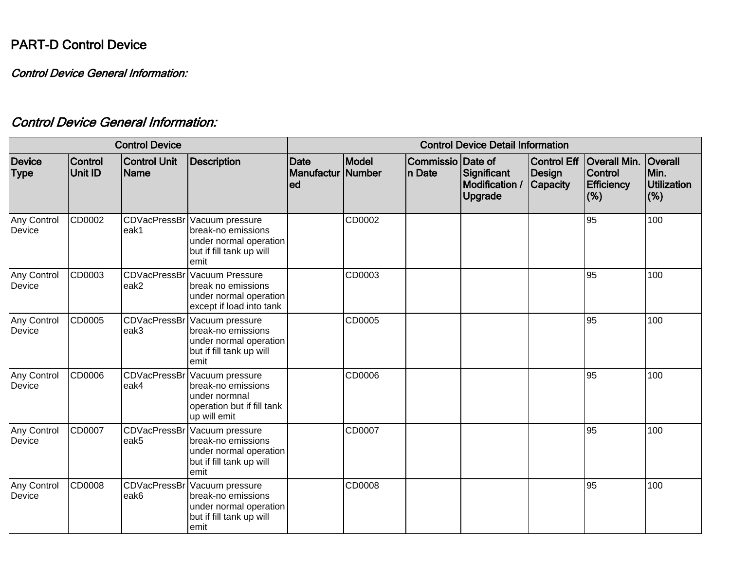## PART-D Control Device

Control Device General Information:

## Control Device General Information:

| <b>Control Device</b> |                           |                                    |                                                                                                      | <b>Control Device Detail Information</b>         |        |                              |                                                 |                                          |                                                                   |                                                     |
|-----------------------|---------------------------|------------------------------------|------------------------------------------------------------------------------------------------------|--------------------------------------------------|--------|------------------------------|-------------------------------------------------|------------------------------------------|-------------------------------------------------------------------|-----------------------------------------------------|
| Device<br><b>Type</b> | Control<br><b>Unit ID</b> | <b>Control Unit</b><br><b>Name</b> | <b>Description</b>                                                                                   | <b>Date</b><br><b>Manufactur   Number</b><br>led | Model  | Commissio Date of<br>In Date | Significant<br>Modification /<br><b>Upgrade</b> | Control Eff<br>Design<br><b>Capacity</b> | <b>Overall Min.</b><br><b>Control</b><br><b>Efficiency</b><br>(%) | <b>Overall</b><br>Min.<br><b>Utilization</b><br>(%) |
| Any Control<br>Device | CD0002                    | <b>CDVacPressBr</b><br>eak1        | Vacuum pressure<br>break-no emissions<br>under normal operation<br>but if fill tank up will<br>emit  |                                                  | CD0002 |                              |                                                 |                                          | 95                                                                | 100                                                 |
| Any Control<br>Device | CD0003                    | <b>CDVacPressBr</b><br>eak2        | Vacuum Pressure<br>break no emissions<br>under normal operation<br>except if load into tank          |                                                  | CD0003 |                              |                                                 |                                          | 95                                                                | 100                                                 |
| Any Control<br>Device | CD0005                    | <b>CDVacPressBr</b><br>eak3        | Vacuum pressure<br>break-no emissions<br>under normal operation<br>but if fill tank up will<br>emit  |                                                  | CD0005 |                              |                                                 |                                          | 95                                                                | 100                                                 |
| Any Control<br>Device | CD0006                    | CDVacPressBr<br>eak4               | Vacuum pressure<br>break-no emissions<br>under normnal<br>operation but if fill tank<br>up will emit |                                                  | CD0006 |                              |                                                 |                                          | 95                                                                | 100                                                 |
| Any Control<br>Device | CD0007                    | <b>CDVacPressBr</b><br>eak5        | Vacuum pressure<br>break-no emissions<br>under normal operation<br>but if fill tank up will<br>emit  |                                                  | CD0007 |                              |                                                 |                                          | 95                                                                | 100                                                 |
| Any Control<br>Device | CD0008                    | CDVacPressBr<br>eak6               | Vacuum pressure<br>break-no emissions<br>under normal operation<br>but if fill tank up will<br>lemit |                                                  | CD0008 |                              |                                                 |                                          | 95                                                                | 100                                                 |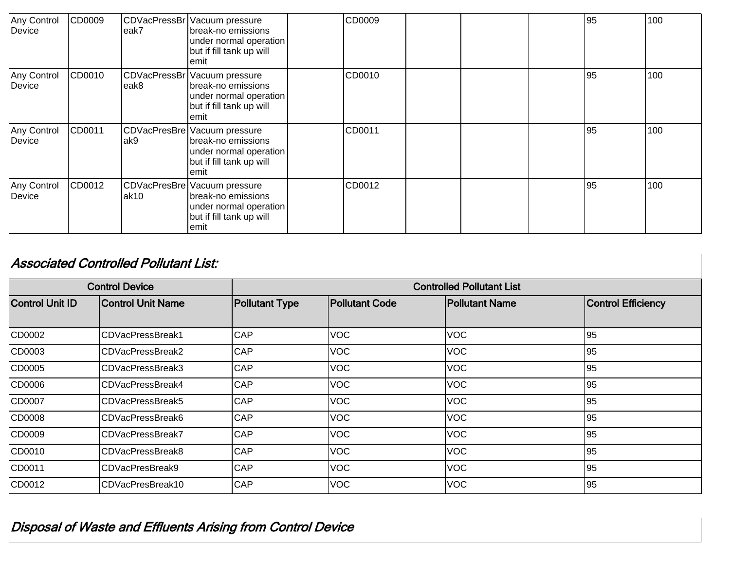| Any Control<br>Device | CD0009 | leak7 | CDVacPressBr   Vacuum pressure<br>Ibreak-no emissions<br>under normal operation<br>but if fill tank up will<br>lemit | CD0009 |  | 95  | 100 |
|-----------------------|--------|-------|----------------------------------------------------------------------------------------------------------------------|--------|--|-----|-----|
| Any Control<br>Device | CD0010 | leak8 | CDVacPressBr   Vacuum pressure<br>break-no emissions<br>under normal operation<br>but if fill tank up will<br>lemit  | CD0010 |  | 95  | 100 |
| Any Control<br>Device | CD0011 | lak9  | CDVacPresBre   Vacuum pressure<br>break-no emissions<br>under normal operation<br>but if fill tank up will<br>lemit  | CD0011 |  | 95  | 100 |
| Any Control<br>Device | CD0012 | lak10 | CDVacPresBre   Vacuum pressure<br>break-no emissions<br>under normal operation<br>but if fill tank up will<br>lemit  | CD0012 |  | 195 | 100 |

## Associated Controlled Pollutant List: Control Device Controlled Pollutant List Control Unit ID Control Unit Name Pollutant Type Pollutant Code Pollutant Name Control Efficiency CD0002 CDVacPressBreak1 CAP VOC VOC 95 CD0003 CDVacPressBreak2 CAP VOC VOC VOC 95 CD0005 CDVacPressBreak3 CAP VOC VOC 95 CD0006 CDVacPressBreak4 CAP VOC VOC 95 CD0007 CDVacPressBreak5 CAP VOC VOC 95 CD0008 CDVacPressBreak6 CAP VOC VOC 95 CD0009 CDVacPressBreak7 CAP VOC VOC 95 CD0010 CDVacPressBreak8 CAP VOC VOC 95 CD0011 CDVacPresBreak9 CAP VOC VOC 95 CD0012 CDVacPresBreak10 CAP VOC VOC 95

Disposal of Waste and Effluents Arising from Control Device